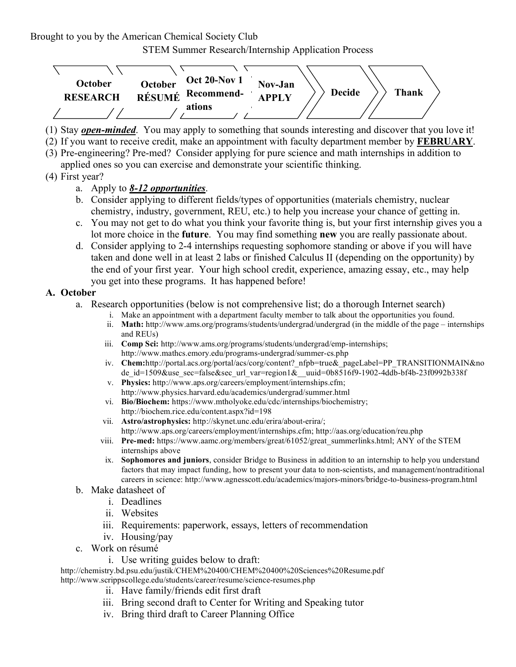Brought to you by the American Chemical Society Club

STEM Summer Research/Internship Application Process



- (1) Stay *open-minded*. You may apply to something that sounds interesting and discover that you love it!
- (2) If you want to receive credit, make an appointment with faculty department member by **FEBRUARY**.
- (3) Pre-engineering? Pre-med? Consider applying for pure science and math internships in addition to applied ones so you can exercise and demonstrate your scientific thinking.
- (4) First year?

### a. Apply to *8-12 opportunities*.

- b. Consider applying to different fields/types of opportunities (materials chemistry, nuclear chemistry, industry, government, REU, etc.) to help you increase your chance of getting in.
- c. You may not get to do what you think your favorite thing is, but your first internship gives you a lot more choice in the **future**. You may find something **new** you are really passionate about.
- d. Consider applying to 2-4 internships requesting sophomore standing or above if you will have taken and done well in at least 2 labs or finished Calculus II (depending on the opportunity) by the end of your first year. Your high school credit, experience, amazing essay, etc., may help you get into these programs. It has happened before!

#### **A. October**

- a. Research opportunities (below is not comprehensive list; do a thorough Internet search)
	- i. Make an appointment with a department faculty member to talk about the opportunities you found.
		- ii. **Math:** http://www.ams.org/programs/students/undergrad/undergrad (in the middle of the page internships and REUs)
		- iii. **Comp Sci:** http://www.ams.org/programs/students/undergrad/emp-internships; http://www.mathcs.emory.edu/programs-undergrad/summer-cs.php
		- iv. **Chem:**http://portal.acs.org/portal/acs/corg/content? nfpb=true& pageLabel=PP\_TRANSITIONMAIN&no de id=1509&use sec=false&sec url var=region1& uuid=0b8516f9-1902-4ddb-bf4b-23f0992b338f
		- v. **Physics:** http://www.aps.org/careers/employment/internships.cfm; http://www.physics.harvard.edu/academics/undergrad/summer.html
		- vi. **Bio/Biochem:** https://www.mtholyoke.edu/cdc/internships/biochemistry; http://biochem.rice.edu/content.aspx?id=198
		- vii. **Astro/astrophysics:** http://skynet.unc.edu/erira/about-erira/; http://www.aps.org/careers/employment/internships.cfm; http://aas.org/education/reu.php
	- viii. **Pre-med:** https://www.aamc.org/members/great/61052/great\_summerlinks.html; ANY of the STEM internships above
	- ix. **Sophomores and juniors**, consider Bridge to Business in addition to an internship to help you understand factors that may impact funding, how to present your data to non-scientists, and management/nontraditional careers in science: http://www.agnesscott.edu/academics/majors-minors/bridge-to-business-program.html
- b. Make datasheet of
	- i. Deadlines
	- ii. Websites
	- iii. Requirements: paperwork, essays, letters of recommendation
	- iv. Housing/pay
- c. Work on résumé
	- i. Use writing guides below to draft:

http://chemistry.bd.psu.edu/justik/CHEM%20400/CHEM%20400%20Sciences%20Resume.pdf

- http://www.scrippscollege.edu/students/career/resume/science-resumes.php
	- ii. Have family/friends edit first draft
	- iii. Bring second draft to Center for Writing and Speaking tutor
	- iv. Bring third draft to Career Planning Office